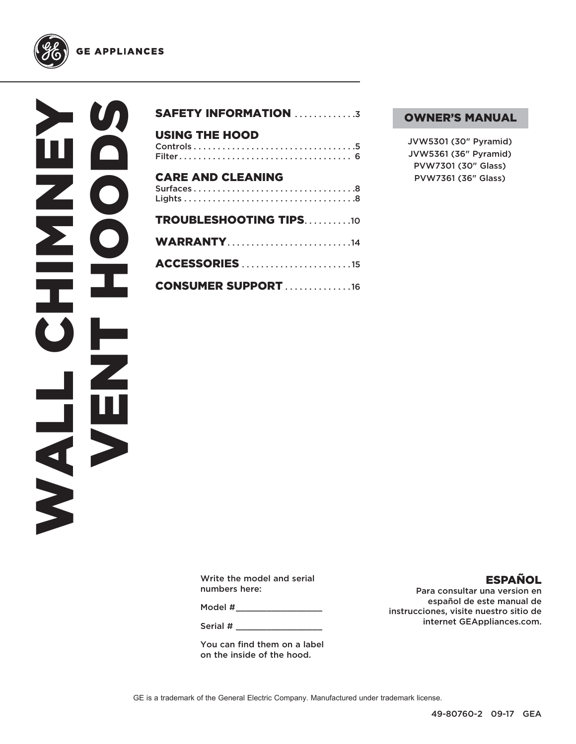



| <b>SAFETY INFORMATION 3</b>   |
|-------------------------------|
| <b>USING THE HOOD</b>         |
| <b>CARE AND CLEANING</b>      |
| <b>TROUBLESHOOTING TIPS10</b> |
| <b>WARRANTY14</b>             |
| <b>ACCESSORIES</b> 15         |
| <b>CONSUMER SUPPORT 16</b>    |

#### OWNER'S MANUAL

JVW5301 (30" Pyramid) JVW5361 (36" Pyramid) PVW7301 (30" Glass) PVW7361 (36" Glass)

Write the model and serial numbers here:

Model #

Serial #

You can find them on a label on the inside of the hood.

#### ESPAÑOL

Para consultar una version en español de este manual de instrucciones, visite nuestro sitio de internet GEAppliances.com.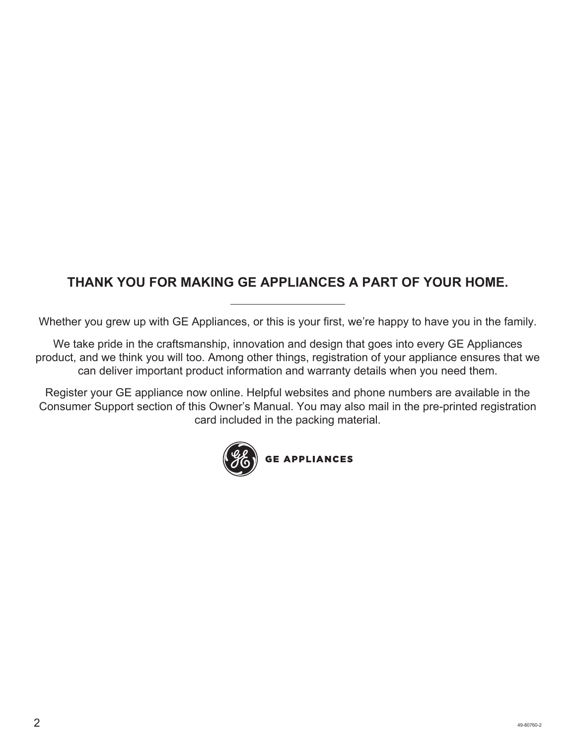## **THANK YOU FOR MAKING GE APPLIANCES A PART OF YOUR HOME.**

Whether you grew up with GE Appliances, or this is your first, we're happy to have you in the family.

We take pride in the craftsmanship, innovation and design that goes into every GE Appliances product, and we think you will too. Among other things, registration of your appliance ensures that we can deliver important product information and warranty details when you need them.

Register your GE appliance now online. Helpful websites and phone numbers are available in the Consumer Support section of this Owner's Manual. You may also mail in the pre-printed registration card included in the packing material.

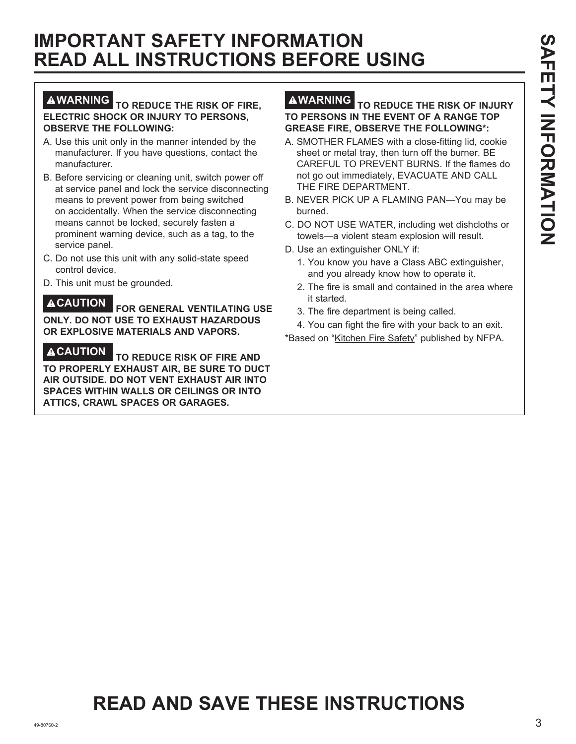## **IMPORTANT SAFETY INFORMATION READ ALL INSTRUCTIONS BEFORE USING**

#### **WARNING TO REDUCE THE RISK OF FIRE, ELECTRIC SHOCK OR INJURY TO PERSONS, OBSERVE THE FOLLOWING:**

- A. Use this unit only in the manner intended by the manufacturer. If you have questions, contact the manufacturer.
- B. Before servicing or cleaning unit, switch power off at service panel and lock the service disconnecting means to prevent power from being switched on accidentally. When the service disconnecting means cannot be locked, securely fasten a prominent warning device, such as a tag, to the service panel.
- C. Do not use this unit with any solid-state speed control device.
- D. This unit must be grounded.

**CAUTION FOR GENERAL VENTILATING USE ONLY. DO NOT USE TO EXHAUST HAZARDOUS OR EXPLOSIVE MATERIALS AND VAPORS.**

**CAUTION TO REDUCE RISK OF FIRE AND TO PROPERLY EXHAUST AIR, BE SURE TO DUCT AIR OUTSIDE. DO NOT VENT EXHAUST AIR INTO SPACES WITHIN WALLS OR CEILINGS OR INTO ATTICS, CRAWL SPACES OR GARAGES.**

#### **WARNING TO REDUCE THE RISK OF INJURY TO PERSONS IN THE EVENT OF A RANGE TOP GREASE FIRE, OBSERVE THE FOLLOWING\*:**

- A. SMOTHER FLAMES with a close-fitting lid, cookie sheet or metal tray, then turn off the burner. BE CAREFUL TO PREVENT BURNS. If the flames do not go out immediately, EVACUATE AND CALL THE FIRE DEPARTMENT.
- B. NEVER PICK UP A FLAMING PAN—You may be burned.
- C. DO NOT USE WATER, including wet dishcloths or towels—a violent steam explosion will result.
- D. Use an extinguisher ONLY if:
	- 1. You know you have a Class ABC extinguisher, and you already know how to operate it.
	- 2. The fire is small and contained in the area where it started.
	- 3. The fire department is being called.
- 4. You can fight the fire with your back to an exit. \* Based on "Kitchen Fire Safety" published by NFPA.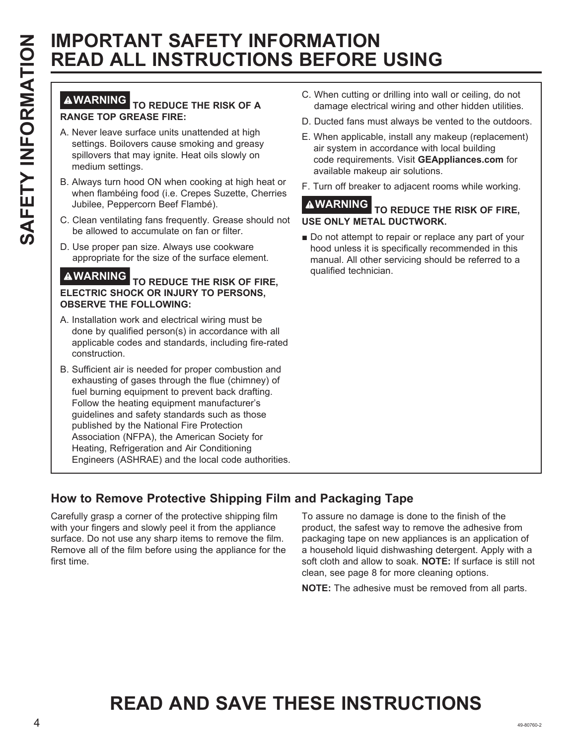# **READ ALL INSTRUCTIONS BEFORE USING**

#### **WARNING TO REDUCE THE RISK OF A RANGE TOP GREASE FIRE:**

- A. Never leave surface units unattended at high settings. Boilovers cause smoking and greasy spillovers that may ignite. Heat oils slowly on medium settings.
- B. Always turn hood ON when cooking at high heat or when flambéing food (i.e. Crepes Suzette, Cherries Jubilee, Peppercorn Beef Flambé).
- C. Clean ventilating fans frequently. Grease should not be allowed to accumulate on fan or filter.
- D. Use proper pan size. Always use cookware appropriate for the size of the surface element.

#### **WARNING TO REDUCE THE RISK OF FIRE, ELECTRIC SHOCK OR INJURY TO PERSONS, OBSERVE THE FOLLOWING:**

- A. Installation work and electrical wiring must be done by qualified person(s) in accordance with all applicable codes and standards, including fire-rated construction.
- EXAMPRONT ANTERNT INFORMATION SECTION SECTION SECTION SECTION SECTION AND CONSULTED TO REDUCE THE RESIST OF PROPERTY INTERNET IN CONSULTED TO RECORD THE RESIST OF PROPERTY INTERNET IN CONSULTED TO RECORD THE RESIST OF PR B. Sufficient air is needed for proper combustion and exhausting of gases through the flue (chimney) of fuel burning equipment to prevent back drafting. Follow the heating equipment manufacturer's guidelines and safety standards such as those published by the National Fire Protection Association (NFPA), the American Society for Heating, Refrigeration and Air Conditioning Engineers (ASHRAE) and the local code authorities.
	- C. When cutting or drilling into wall or ceiling, do not damage electrical wiring and other hidden utilities.
	- D. Ducted fans must always be vented to the outdoors.
	- E. When applicable, install any makeup (replacement) air system in accordance with local building code requirements. Visit **GEAppliances.com** for available makeup air solutions.
	- F. Turn off breaker to adjacent rooms while working.

#### **WARNING TO REDUCE THE RISK OF FIRE, USE ONLY METAL DUCTWORK.**

Do not attempt to repair or replace any part of your hood unless it is specifically recommended in this manual. All other servicing should be referred to a qualified technician.

## **How to Remove Protective Shipping Film and Packaging Tape**

Carefully grasp a corner of the protective shipping film with your fingers and slowly peel it from the appliance surface. Do not use any sharp items to remove the film. Remove all of the film before using the appliance for the first time.

To assure no damage is done to the finish of the product, the safest way to remove the adhesive from packaging tape on new appliances is an application of a household liquid dishwashing detergent. Apply with a soft cloth and allow to soak. **NOTE:** If surface is still not clean, see page 8 for more cleaning options.

**NOTE:** The adhesive must be removed from all parts.

# **READ AND SAVE THESE INSTRUCTIONS**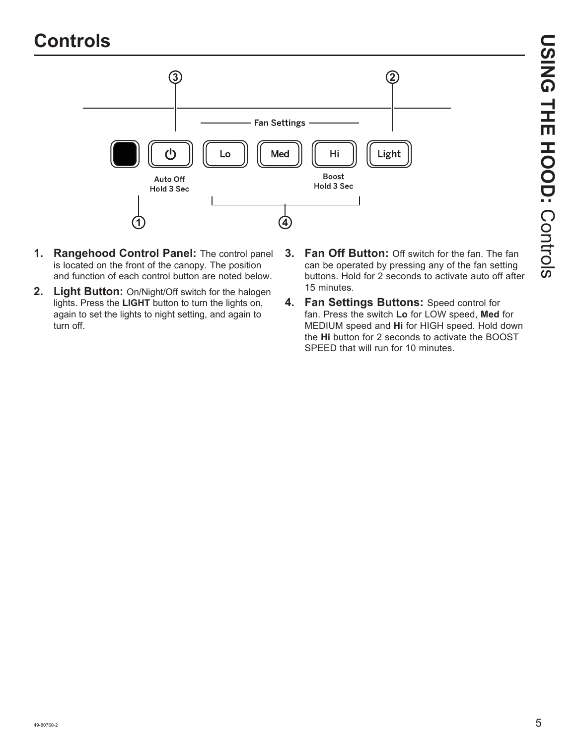## **Controls**



- **1. Rangehood Control Panel:** The control panel is located on the front of the canopy. The position and function of each control button are noted below.
- **2. Light Button:** On/Night/Off switch for the halogen lights. Press the **LIGHT** button to turn the lights on, again to set the lights to night setting, and again to turn off.
- **3. Fan Off Button:** Off switch for the fan. The fan can be operated by pressing any of the fan setting buttons. Hold for 2 seconds to activate auto off after 15 minutes.
- **4. Fan Settings Buttons:** Speed control for fan. Press the switch **Lo** for LOW speed, **Med** for MEDIUM speed and **Hi** for HIGH speed. Hold down the **Hi** button for 2 seconds to activate the BOOST SPEED that will run for 10 minutes.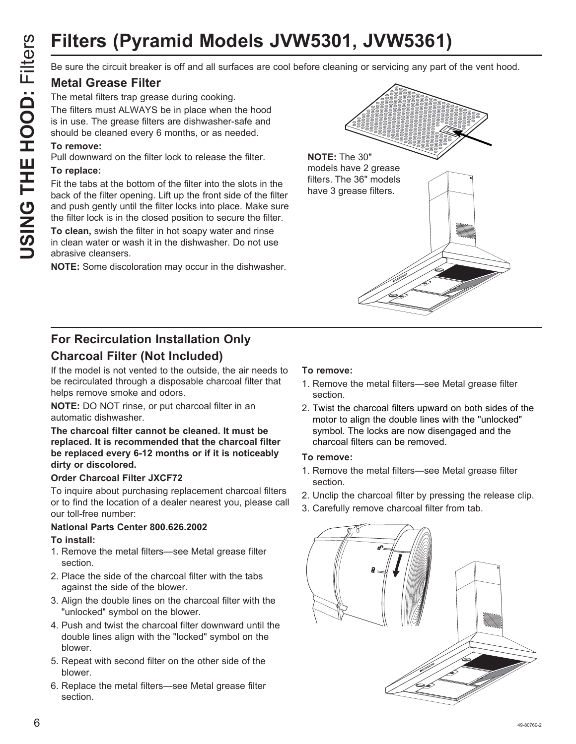# **Filters (Pyramid Models JVW5301, JVW5361)**

#### **Metal Grease Filter**

The metal filters trap grease during cooking.

The filters must ALWAYS be in place when the hood is in use. The grease filters are dishwasher-safe and should be cleaned every 6 months, or as needed.

#### **To remove:**

Pull downward on the filter lock to release the filter.

#### **To replace:**

Fit the tabs at the bottom of the filter into the slots in the back of the filter opening. Lift up the front side of the filter and push gently until the filter locks into place. Make sure the filter lock is in the closed position to secure the filter.

**To clean,** swish the filter in hot soapy water and rinse in clean water or wash it in the dishwasher. Do not use abrasive cleansers.

**NOTE:** Some discoloration may occur in the dishwasher.



## **For Recirculation Installation Only Charcoal Filter (Not Included)**

If the model is not vented to the outside, the air needs to be recirculated through a disposable charcoal filter that helps remove smoke and odors.

**NOTE:** DO NOT rinse, or put charcoal filter in an automatic dishwasher.

#### **The charcoal filter cannot be cleaned. It must be replaced. It is recommended that the charcoal filter be replaced every 6-12 months or if it is noticeably dirty or discolored.**

#### **Order Charcoal Filter JXCF72**

To inquire about purchasing replacement charcoal filters or to find the location of a dealer nearest you, please call our toll-free number:

## **National Parts Center 800.626.2002**

#### **To install:**

- 1. Remove the metal filters—see Metal grease filter section.
- 2. Place the side of the charcoal filter with the tabs against the side of the blower.
- 3. Align the double lines on the charcoal filter with the "unlocked" symbol on the blower.
- 4. Push and twist the charcoal filter downward until the double lines align with the "locked" symbol on the blower.
- 5. Repeat with second filter on the other side of the blower.
- 6. Replace the metal filters—see Metal grease filter section.

#### **To remove:**

- 1. Remove the metal filters—see Metal grease filter section.
- 2. Twist the charcoal filters upward on both sides of the motor to align the double lines with the "unlocked" symbol. The locks are now disengaged and the charcoal filters can be removed.

#### **To remove:**

- 1. Remove the metal filters—see Metal grease filter section.
- 2. Unclip the charcoal filter by pressing the release clip.
- 3. Carefully remove charcoal filter from tab.

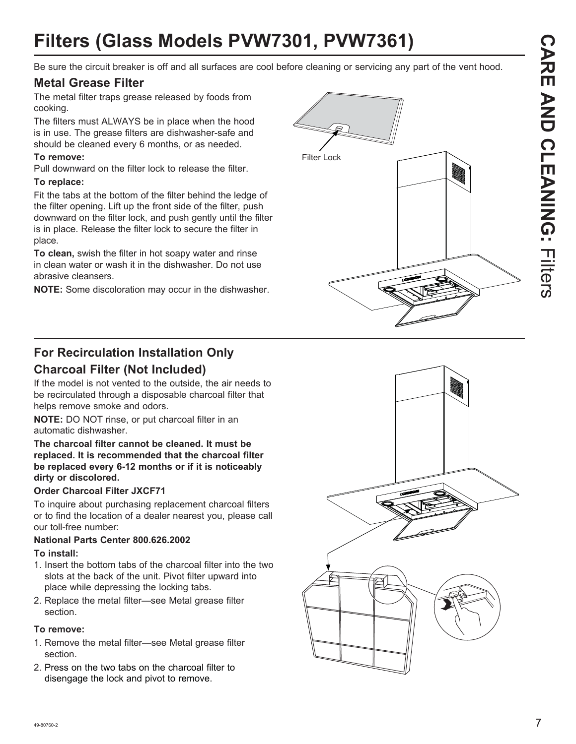# **CARE AND CLEANING:CARE AND CLEANING: Filters**

# **Filters (Glass Models PVW7301, PVW7361)**

Be sure the circuit breaker is off and all surfaces are cool before cleaning or servicing any part of the vent hood.

#### **Metal Grease Filter**

The metal filter traps grease released by foods from cooking.

The filters must ALWAYS be in place when the hood is in use. The grease filters are dishwasher-safe and should be cleaned every 6 months, or as needed.

#### **To remove:**

Pull downward on the filter lock to release the filter.

#### **To replace:**

Fit the tabs at the bottom of the filter behind the ledge of the filter opening. Lift up the front side of the filter, push downward on the filter lock, and push gently until the filter is in place. Release the filter lock to secure the filter in place.

**To clean,** swish the filter in hot soapy water and rinse in clean water or wash it in the dishwasher. Do not use abrasive cleansers.

**NOTE:** Some discoloration may occur in the dishwasher.



### **For Recirculation Installation Only Charcoal Filter (Not Included)**

If the model is not vented to the outside, the air needs to be recirculated through a disposable charcoal filter that helps remove smoke and odors.

**NOTE:** DO NOT rinse, or put charcoal filter in an automatic dishwasher.

**The charcoal filter cannot be cleaned. It must be replaced. It is recommended that the charcoal filter be replaced every 6-12 months or if it is noticeably dirty or discolored.**

#### **Order Charcoal Filter JXCF71**

To inquire about purchasing replacement charcoal filters or to find the location of a dealer nearest you, please call our toll-free number:

#### **National Parts Center 800.626.2002**

#### **To install:**

- 1. Insert the bottom tabs of the charcoal filter into the two slots at the back of the unit. Pivot filter upward into place while depressing the locking tabs.
- 2. Replace the metal filter—see Metal grease filter section.

#### **To remove:**

- 1. Remove the metal filter—see Metal grease filter section.
- 2. Press on the two tabs on the charcoal filter to disengage the lock and pivot to remove.

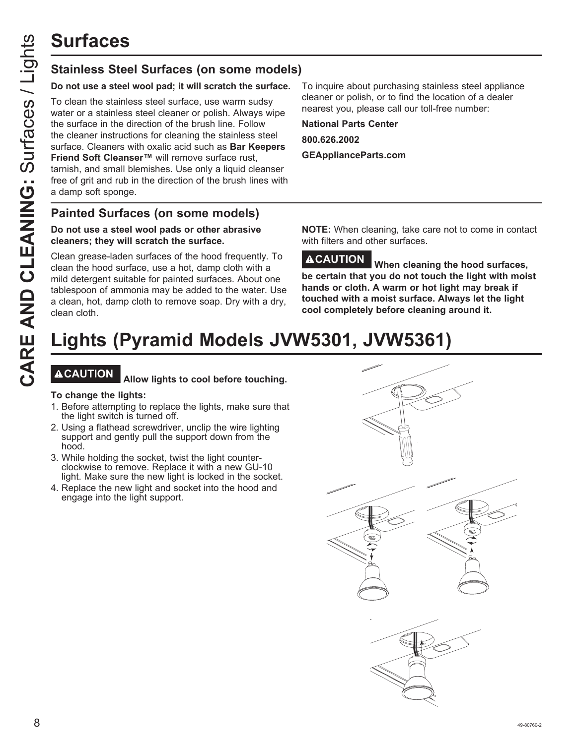## **Stainless Steel Surfaces (on some models)**

#### **Do not use a steel wool pad; it will scratch the surface.**

To clean the stainless steel surface, use warm sudsy water or a stainless steel cleaner or polish. Always wipe the surface in the direction of the brush line. Follow the cleaner instructions for cleaning the stainless steel surface. Cleaners with oxalic acid such as **Bar Keepers Friend Soft Cleanser™** will remove surface rust, tarnish, and small blemishes. Use only a liquid cleanser free of grit and rub in the direction of the brush lines with a damp soft sponge.

To inquire about purchasing stainless steel appliance cleaner or polish, or to find the location of a dealer nearest you, please call our toll-free number:

**National Parts Center 800.626.2002 GEApplianceParts.com**

#### **Painted Surfaces (on some models)**

#### **Do not use a steel wool pads or other abrasive cleaners; they will scratch the surface.**

Clean grease-laden surfaces of the hood frequently. To clean the hood surface, use a hot, damp cloth with a mild detergent suitable for painted surfaces. About one tablespoon of ammonia may be added to the water. Use a clean, hot, damp cloth to remove soap. Dry with a dry, clean cloth.

**NOTE:** When cleaning, take care not to come in contact with filters and other surfaces.

**CAUTION When cleaning the hood surfaces, be certain that you do not touch the light with moist hands or cloth. A warm or hot light may break if touched with a moist surface. Always let the light cool completely before cleaning around it.**

# **Lights (Pyramid Models JVW5301, JVW5361)**

## **CAUTION Allow lights to cool before touching.**

#### **To change the lights:**

- 1. Before attempting to replace the lights, make sure that the light switch is turned off.
- 2. Using a flathead screwdriver, unclip the wire lighting support and gently pull the support down from the hood.
- 3. While holding the socket, twist the light counterclockwise to remove. Replace it with a new GU-10 light. Make sure the new light is locked in the socket.
- 4. Replace the new light and socket into the hood and engage into the light support.

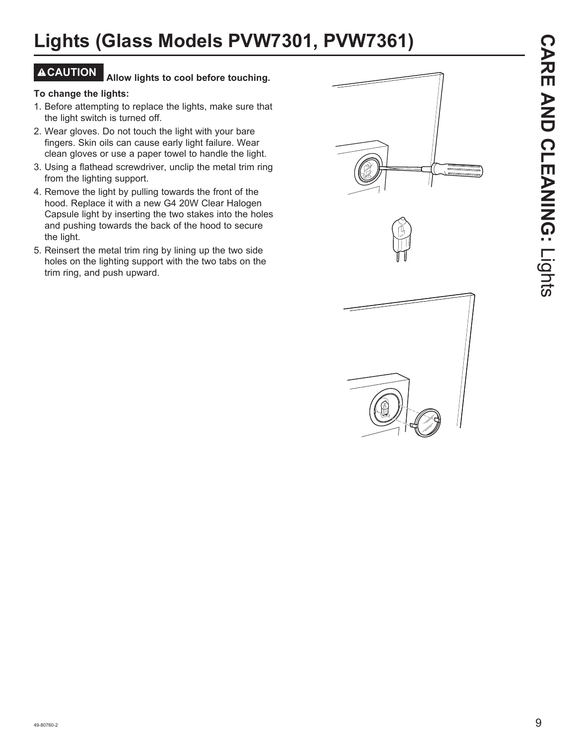# **Lights (Glass Models PVW7301, PVW7361)**

## **CAUTION Allow lights to cool before touching.**

#### **To change the lights:**

- 1. Before attempting to replace the lights, make sure that the light switch is turned off.
- 2. Wear gloves. Do not touch the light with your bare fingers. Skin oils can cause early light failure. Wear clean gloves or use a paper towel to handle the light.
- 3. Using a flathead screwdriver, unclip the metal trim ring from the lighting support.
- 4. Remove the light by pulling towards the front of the hood. Replace it with a new G4 20W Clear Halogen Capsule light by inserting the two stakes into the holes and pushing towards the back of the hood to secure the light.
- 5. Reinsert the metal trim ring by lining up the two side holes on the lighting support with the two tabs on the trim ring, and push upward.



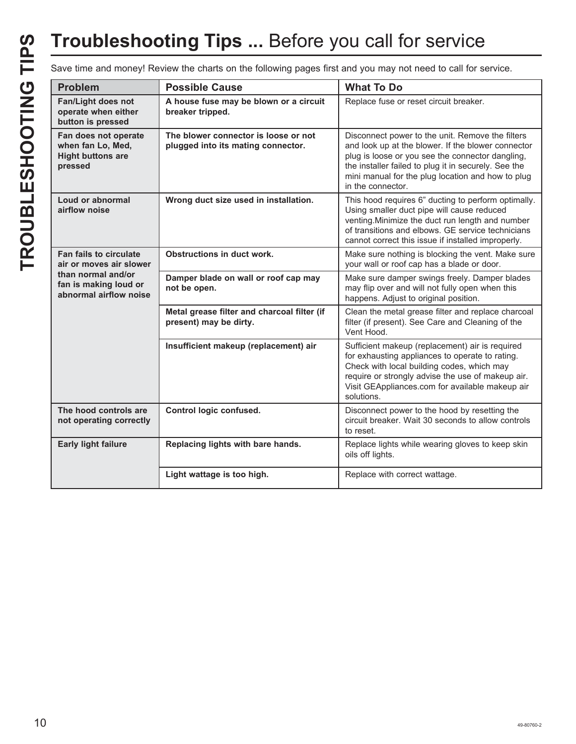# **Troubleshooting Tips ...** Before you call for service

Save time and money! Review the charts on the following pages first and you may not need to call for service.

| <b>Problem</b>                                                                                                                    | <b>Possible Cause</b>                                                      | <b>What To Do</b>                                                                                                                                                                                                                                                                            |
|-----------------------------------------------------------------------------------------------------------------------------------|----------------------------------------------------------------------------|----------------------------------------------------------------------------------------------------------------------------------------------------------------------------------------------------------------------------------------------------------------------------------------------|
| Fan/Light does not<br>operate when either<br>button is pressed                                                                    | A house fuse may be blown or a circuit<br>breaker tripped.                 | Replace fuse or reset circuit breaker.                                                                                                                                                                                                                                                       |
| Fan does not operate<br>when fan Lo, Med,<br><b>Hight buttons are</b><br>pressed                                                  | The blower connector is loose or not<br>plugged into its mating connector. | Disconnect power to the unit. Remove the filters<br>and look up at the blower. If the blower connector<br>plug is loose or you see the connector dangling,<br>the installer failed to plug it in securely. See the<br>mini manual for the plug location and how to plug<br>in the connector. |
| Loud or abnormal<br>airflow noise                                                                                                 | Wrong duct size used in installation.                                      | This hood requires 6" ducting to perform optimally.<br>Using smaller duct pipe will cause reduced<br>venting. Minimize the duct run length and number<br>of transitions and elbows. GE service technicians<br>cannot correct this issue if installed improperly.                             |
| <b>Fan fails to circulate</b><br>air or moves air slower<br>than normal and/or<br>fan is making loud or<br>abnormal airflow noise | Obstructions in duct work.                                                 | Make sure nothing is blocking the vent. Make sure<br>your wall or roof cap has a blade or door.                                                                                                                                                                                              |
|                                                                                                                                   | Damper blade on wall or roof cap may<br>not be open.                       | Make sure damper swings freely. Damper blades<br>may flip over and will not fully open when this<br>happens. Adjust to original position.                                                                                                                                                    |
|                                                                                                                                   | Metal grease filter and charcoal filter (if<br>present) may be dirty.      | Clean the metal grease filter and replace charcoal<br>filter (if present). See Care and Cleaning of the<br>Vent Hood.                                                                                                                                                                        |
|                                                                                                                                   | Insufficient makeup (replacement) air                                      | Sufficient makeup (replacement) air is required<br>for exhausting appliances to operate to rating.<br>Check with local building codes, which may<br>require or strongly advise the use of makeup air.<br>Visit GEAppliances.com for available makeup air<br>solutions.                       |
| The hood controls are<br>not operating correctly                                                                                  | Control logic confused.                                                    | Disconnect power to the hood by resetting the<br>circuit breaker. Wait 30 seconds to allow controls<br>to reset.                                                                                                                                                                             |
| <b>Early light failure</b>                                                                                                        | Replacing lights with bare hands.                                          | Replace lights while wearing gloves to keep skin<br>oils off lights.                                                                                                                                                                                                                         |
|                                                                                                                                   | Light wattage is too high.                                                 | Replace with correct wattage.                                                                                                                                                                                                                                                                |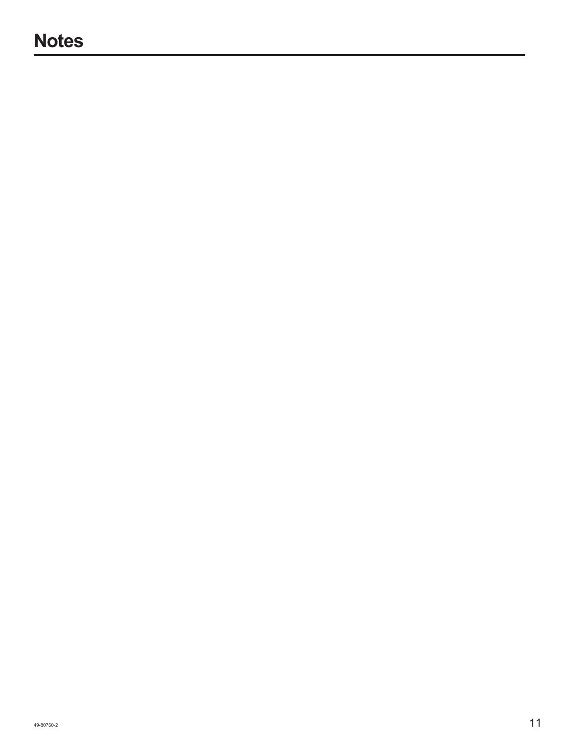## **Notes**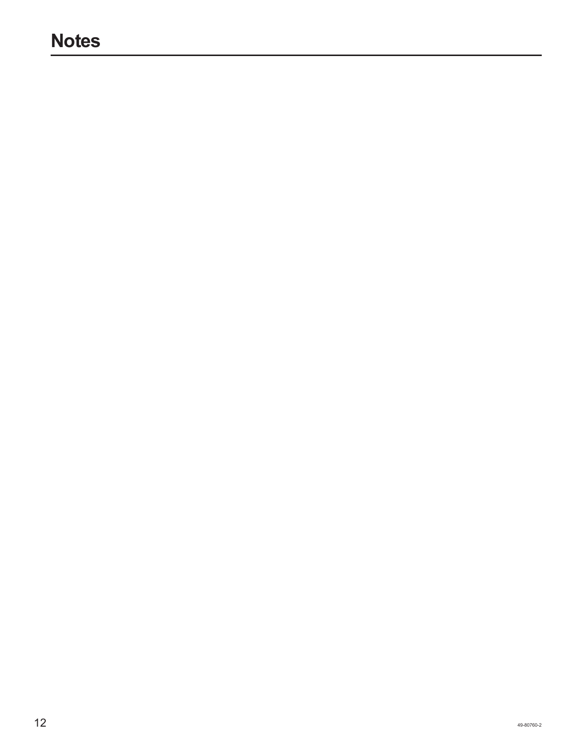## **Notes**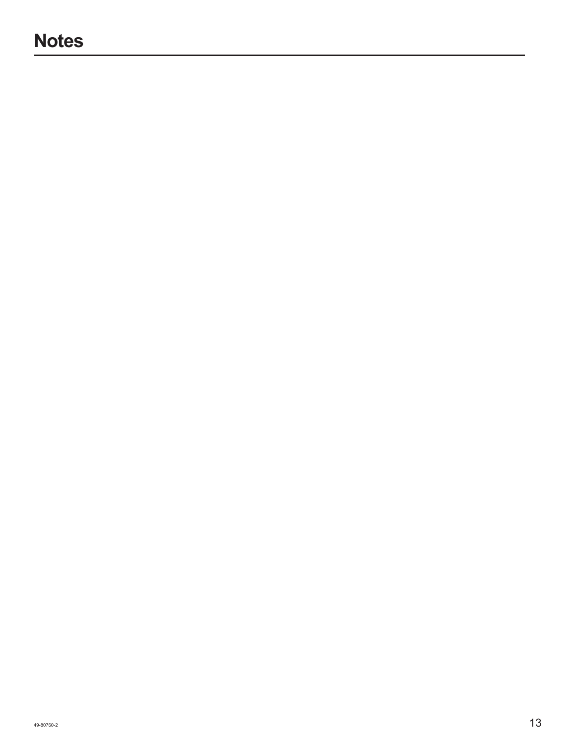## **Notes**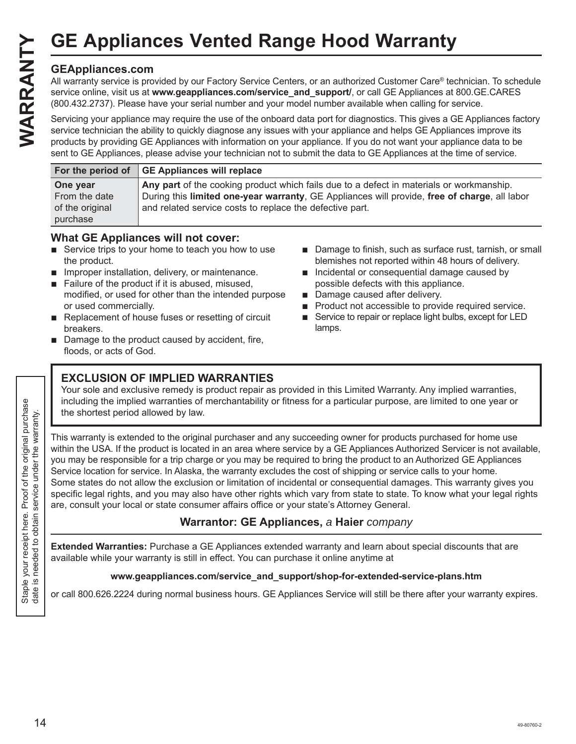#### **GEAppliances.com**

All warranty service is provided by our Factory Service Centers, or an authorized Customer Care® technician. To schedule service online, visit us at **www.geappliances.com/service\_and\_support/**, or call GE Appliances at 800.GE.CARES (800.432.2737). Please have your serial number and your model number available when calling for service. GE Appliances Vented Range Hood Warranty<br>
GEAppliances.com<br>
All warranty service is provided by our Factory Service Centers, or an authorized Customer Care® tec<br>
service online, visit us at www.geappliances.com/service\_and

Servicing your appliance may require the use of the onboard data port for diagnostics. This gives a GE Appliances factory service technician the ability to quickly diagnose any issues with your appliance and helps GE Appliances improve its products by providing GE Appliances with information on your appliance. If you do not want your appliance data to be sent to GE Appliances, please advise your technician not to submit the data to GE Appliances at the time of service.

|                 | For the period of GE Appliances will replace                                                 |
|-----------------|----------------------------------------------------------------------------------------------|
| One year        | Any part of the cooking product which fails due to a defect in materials or workmanship.     |
| From the date   | During this limited one-year warranty, GE Appliances will provide, free of charge, all labor |
| of the original | and related service costs to replace the defective part.                                     |
| purchase        |                                                                                              |

#### **What GE Appliances will not cover:**

- $\blacksquare$  Service trips to your home to teach you how to use the product.
- $\blacksquare$  Improper installation, delivery, or maintenance.
- Failure of the product if it is abused, misused, modified, or used for other than the intended purpose or used commercially.
- $\blacksquare$  Replacement of house fuses or resetting of circuit breakers.
- $\blacksquare$  Damage to the product caused by accident, fire, floods, or acts of God.
- $\blacksquare$  Damage to finish, such as surface rust, tarnish, or small blemishes not reported within 48 hours of delivery.
- $\blacksquare$  Incidental or consequential damage caused by possible defects with this appliance.
- Damage caused after delivery.
- $\blacksquare$  Product not accessible to provide required service.
- Service to repair or replace light bulbs, except for LED lamps.

#### **EXCLUSION OF IMPLIED WARRANTIES**

Your sole and exclusive remedy is product repair as provided in this Limited Warranty. Any implied warranties, including the implied warranties of merchantability or fitness for a particular purpose, are limited to one year or the shortest period allowed by law.

This warranty is extended to the original purchaser and any succeeding owner for products purchased for home use within the USA. If the product is located in an area where service by a GE Appliances Authorized Servicer is not available, you may be responsible for a trip charge or you may be required to bring the product to an Authorized GE Appliances Service location for service. In Alaska, the warranty excludes the cost of shipping or service calls to your home. Some states do not allow the exclusion or limitation of incidental or consequential damages. This warranty gives you specific legal rights, and you may also have other rights which vary from state to state. To know what your legal rights are, consult your local or state consumer affairs office or your state's Attorney General.

#### **Warrantor: GE Appliances,** *a* **Haier** *company*

**Extended Warranties:** Purchase a GE Appliances extended warranty and learn about special discounts that are available while your warranty is still in effect. You can purchase it online anytime at

#### **www.geappliances.com/service\_and\_support/shop-for-extended-service-plans.htm**

or call 800.626.2224 during normal business hours. GE Appliances Service will still be there after your warranty expires.

Staple your receipt here. Proof of the original purchase date is needed to obtain service under the warranty.

Staple your receipt here. Proof of the original purchase<br>date is needed to obtain service under the warranty.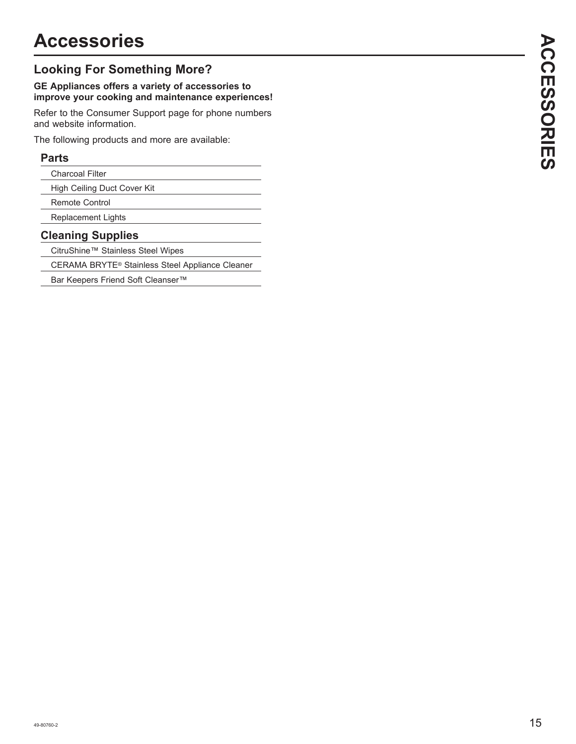## **Looking For Something More?**

#### **GE Appliances offers a variety of accessories to improve your cooking and maintenance experiences!**

Refer to the Consumer Support page for phone numbers and website information.

The following products and more are available:

#### **Parts**

| <b>Charcoal Filter</b>      |  |
|-----------------------------|--|
| High Ceiling Duct Cover Kit |  |

Remote Control

Replacement Lights

#### **Cleaning Supplies**

CitruShine™ Stainless Steel Wipes

CERAMA BRYTE® Stainless Steel Appliance Cleaner

Bar Keepers Friend Soft Cleanser™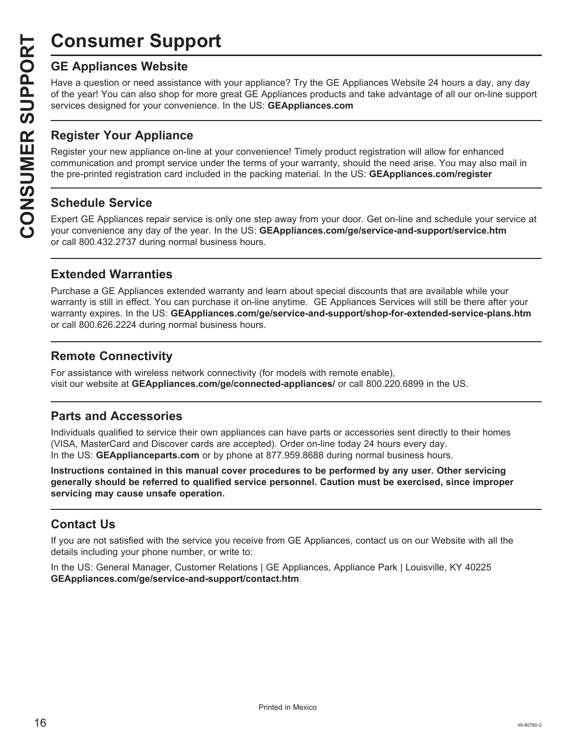# **Consumer Support**

Have a question or need assistance with your appliance? Try the GE Appliances Website 24 hours a day, any day of the year! You can also shop for more great GE Appliances products and take advantage of all our on-line support services designed for your convenience. In the US: **GEAppliances.com**

#### **Register Your Appliance**

**CONSUMER SUP**<br> **CE Appliances Website**<br>
Have a question or need assistant of the year! You can also shop for<br>
services designed for your conver<br> **CONSUMER PORTER INTERNATE SUPPLANCE REQUISTER PORTER SUPPLANCE OF SCHEDULE** Register your new appliance on-line at your convenience! Timely product registration will allow for enhanced communication and prompt service under the terms of your warranty, should the need arise. You may also mail in the pre-printed registration card included in the packing material. In the US: **GEAppliances.com/register**

#### **Schedule Service**

Expert GE Appliances repair service is only one step away from your door. Get on-line and schedule your service at your convenience any day of the year. In the US: **GEAppliances.com/ge/service-and-support/service.htm** or call 800.432.2737 during normal business hours.

#### **Extended Warranties**

Purchase a GE Appliances extended warranty and learn about special discounts that are available while your warranty is still in effect. You can purchase it on-line anytime. GE Appliances Services will still be there after your warranty expires. In the US: **GEAppliances.com/ge/service-and-support/shop-for-extended-service-plans.htm** or call 800.626.2224 during normal business hours.

#### **Remote Connectivity**

For assistance with wireless network connectivity (for models with remote enable), visit our website at **GEAppliances.com/ge/connected-appliances/** or call 800.220.6899 in the US.

#### **Parts and Accessories**

Individuals qualified to service their own appliances can have parts or accessories sent directly to their homes (VISA, MasterCard and Discover cards are accepted). Order on-line today 24 hours every day. In the US: **GEApplianceparts.com** or by phone at 877.959.8688 during normal business hours.

**Instructions contained in this manual cover procedures to be performed by any user. Other servicing generally should be referred to qualified service personnel. Caution must be exercised, since improper servicing may cause unsafe operation.**

#### **Contact Us**

If you are not satisfied with the service you receive from GE Appliances, contact us on our Website with all the details including your phone number, or write to:

In the US: General Manager, Customer Relations | GE Appliances, Appliance Park | Louisville, KY 40225 **GEAppliances.com/ge/service-and-support/contact.htm**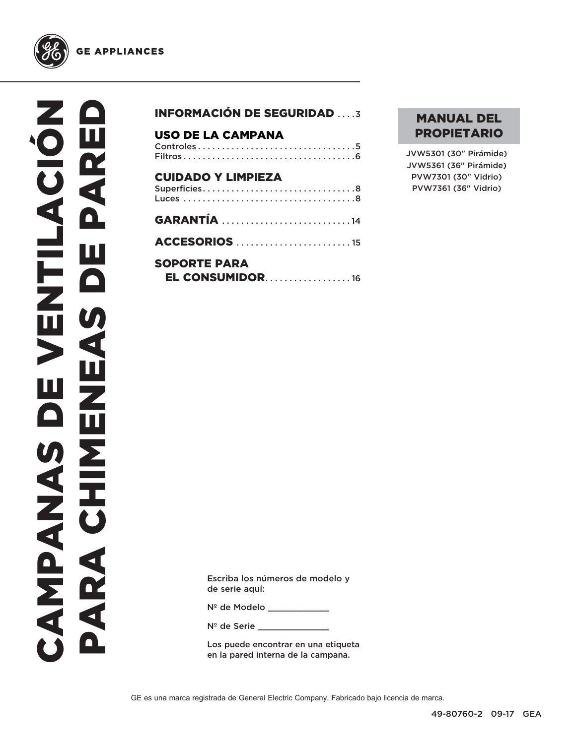

## INFORMACIÓN DE SEGURIDAD . . . .3 USO DE LA CAMPANA Controles . . . . . . . . . . . . . . . . . . . . . . . . . . . . . . . . .5 Filtros . . . . . . . . . . . . . . . . . . . . . . . . . . . . . . . . . . . .6 CUIDADO Y LIMPIEZA Superficies . . . . . . . . . . . . . . . . . . . . . . . . . . . . . . . .8 Luces . . . . . . . . . . . . . . . . . . . . . . . . . . . . . . . . . . . .8 GARANTÍA . . . . . . . . . . . . . . . . . . . . . . . . . . . 14 ACCESORIOS . . . . . . . . . . . . . . . . . . . . . . . . 15 SOPORTE PARA **EL CONSUMIDOR . . . . . . . . . . . . . . . . . 16**

#### MANUAL DEL PROPIETARIO

JVW5301 (30" Pirámide) JVW5361 (36" Pirámide) PVW7301 (30" Vidrio) PVW7361 (36" Vidrio)

Escriba los números de modelo y de serie aquí:

Nº de Modelo \_\_\_\_\_\_\_\_\_\_\_\_

N<sup>º</sup> de Serie \_\_\_\_\_

Los puede encontrar en una etiqueta en la pared interna de la campana.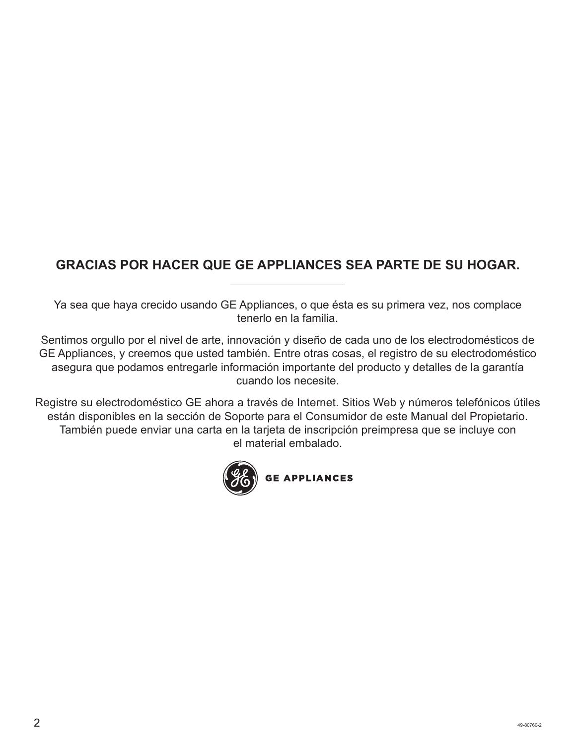## **GRACIAS POR HACER QUE GE APPLIANCES SEA PARTE DE SU HOGAR.**

Ya sea que haya crecido usando GE Appliances, o que ésta es su primera vez, nos complace tenerlo en la familia.

Sentimos orgullo por el nivel de arte, innovación y diseño de cada uno de los electrodomésticos de GE Appliances, y creemos que usted también. Entre otras cosas, el registro de su electrodoméstico asegura que podamos entregarle información importante del producto y detalles de la garantía cuando los necesite.

Registre su electrodoméstico GE ahora a través de Internet. Sitios Web y números telefónicos útiles están disponibles en la sección de Soporte para el Consumidor de este Manual del Propietario. También puede enviar una carta en la tarjeta de inscripción preimpresa que se incluye con el material embalado.

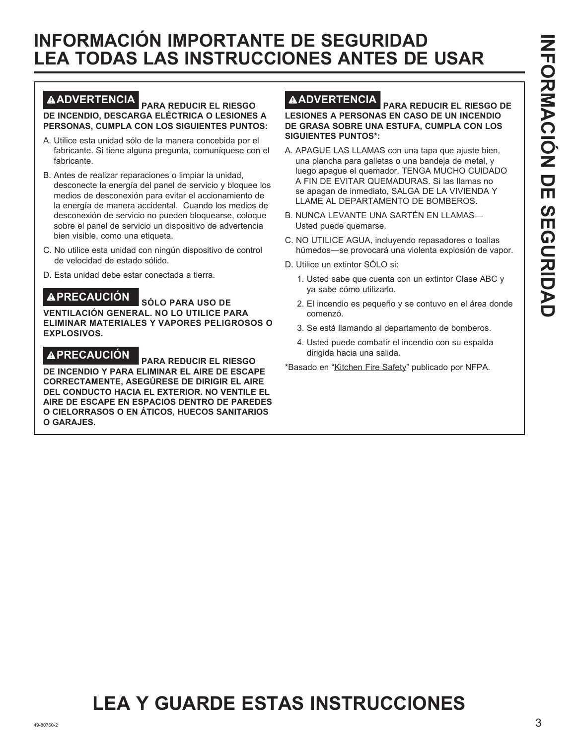## **INFORMACIÓN IMPORTANTE DE SEGURIDAD LEA TODAS LAS INSTRUCCIONES ANTES DE USAR**

#### **ADVERTENCIA PARA REDUCIR EL RIESGO DE INCENDIO, DESCARGA ELÉCTRICA O LESIONES A PERSONAS, CUMPLA CON LOS SIGUIENTES PUNTOS:**

- A. Utilice esta unidad sólo de la manera concebida por el fabricante. Si tiene alguna pregunta, comuníquese con el fabricante.
- B. Antes de realizar reparaciones o limpiar la unidad, desconecte la energía del panel de servicio y bloquee los medios de desconexión para evitar el accionamiento de la energía de manera accidental. Cuando los medios de desconexión de servicio no pueden bloquearse, coloque sobre el panel de servicio un dispositivo de advertencia bien visible, como una etiqueta.
- C. No utilice esta unidad con ningún dispositivo de control de velocidad de estado sólido.
- D. Esta unidad debe estar conectada a tierra.

## **PRECAUCIÓN SÓLO PARA USO DE**

**VENTILACIÓN GENERAL. NO LO UTILICE PARA ELIMINAR MATERIALES Y VAPORES PELIGROSOS O EXPLOSIVOS.** 

**PRECAUCIÓN PARA REDUCIR EL RIESGO DE INCENDIO Y PARA ELIMINAR EL AIRE DE ESCAPE CORRECTAMENTE, ASEGÚRESE DE DIRIGIR EL AIRE DEL CONDUCTO HACIA EL EXTERIOR. NO VENTILE EL AIRE DE ESCAPE EN ESPACIOS DENTRO DE PAREDES O CIELORRASOS O EN ÁTICOS, HUECOS SANITARIOS O GARAJES.**

#### **ADVERTENCIA PARA REDUCIR EL RIESGO DE LESIONES A PERSONAS EN CASO DE UN INCENDIO DE GRASA SOBRE UNA ESTUFA, CUMPLA CON LOS SIGUIENTES PUNTOS\*:**

- A. APAGUE LAS LLAMAS con una tapa que ajuste bien, una plancha para galletas o una bandeja de metal, y luego apague el quemador. TENGA MUCHO CUIDADO A FIN DE EVITAR QUEMADURAS. Si las llamas no se apagan de inmediato, SALGA DE LA VIVIENDA Y LLAME AL DEPARTAMENTO DE BOMBEROS.
- B. NUNCA LEVANTE UNA SARTÉN EN LLAMAS— Usted puede quemarse.
- C. NO UTILICE AGUA, incluyendo repasadores o toallas húmedos—se provocará una violenta explosión de vapor.
- D. Utilice un extintor SÓLO si:
	- 1. Usted sabe que cuenta con un extintor Clase ABC y ya sabe cómo utilizarlo.
	- 2. El incendio es pequeño y se contuvo en el área donde comenzó.
	- 3. Se está llamando al departamento de bomberos.
	- 4. Usted puede combatir el incendio con su espalda dirigida hacia una salida.
- \* Basado en "Kitchen Fire Safety" publicado por NFPA.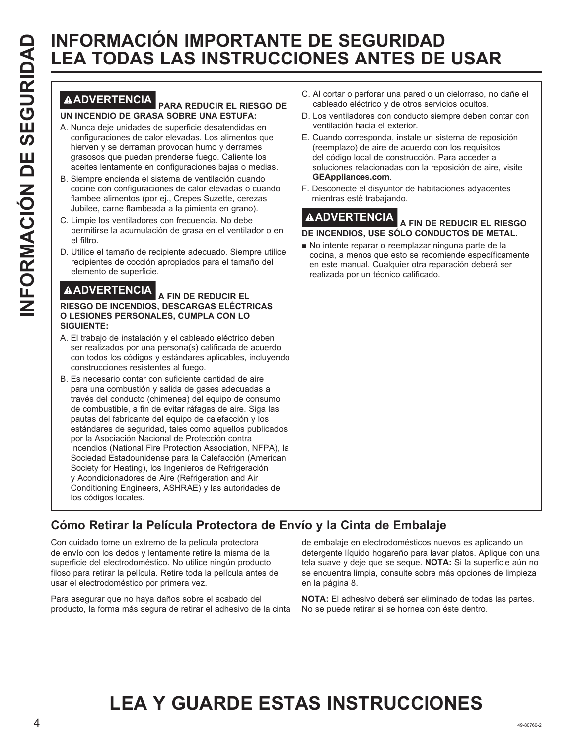# **INFORMACIÓN IMPORTANTE DE SEGURIDAD<br>
INFORMACIÓN IMPORTANTE DE SEGURIDAD<br>
IN INCENDIO DE GRASA SOBRE UNA ESTURA:<br>
A NUMERITENCIA PARA REDUCIR EL RIESGO DE CALOCIDO DE GRASA SOBRE UNA ESTURA:<br>
A NUMERITENCIA A CONSIDERATIV LEA TODAS LAS INSTRUCCIONES ANTES DE USAR**

#### **ADVERTENCIA PARA REDUCIR EL RIESGO DE UN INCENDIO DE GRASA SOBRE UNA ESTUFA:**

- A. Nunca deje unidades de superficie desatendidas en configuraciones de calor elevadas. Los alimentos que hierven y se derraman provocan humo y derrames grasosos que pueden prenderse fuego. Caliente los aceites lentamente en configuraciones bajas o medias.
- B. Siempre encienda el sistema de ventilación cuando cocine con configuraciones de calor elevadas o cuando flambee alimentos (por ej., Crepes Suzette, cerezas Jubilee, carne flambeada a la pimienta en grano).
- C. Limpie los ventiladores con frecuencia. No debe permitirse la acumulación de grasa en el ventilador o en el filtro.
- D. Utilice el tamaño de recipiente adecuado. Siempre utilice recipientes de cocción apropiados para el tamaño del elemento de superficie.

**ADVERTENCIA A FIN DE REDUCIR EL RIESGO DE INCENDIOS, DESCARGAS ELÉCTRICAS O LESIONES PERSONALES, CUMPLA CON LO SIGUIENTE:** 

- A. El trabajo de instalación y el cableado eléctrico deben ser realizados por una persona(s) calificada de acuerdo con todos los códigos y estándares aplicables, incluyendo construcciones resistentes al fuego.
- B. Es necesario contar con suficiente cantidad de aire para una combustión y salida de gases adecuadas a través del conducto (chimenea) del equipo de consumo de combustible, a fin de evitar ráfagas de aire. Siga las pautas del fabricante del equipo de calefacción y los estándares de seguridad, tales como aquellos publicados por la Asociación Nacional de Protección contra Incendios (National Fire Protection Association, NFPA), la Sociedad Estadounidense para la Calefacción (American Society for Heating), los Ingenieros de Refrigeración y Acondicionadores de Aire (Refrigeration and Air Conditioning Engineers, ASHRAE) y las autoridades de los códigos locales.
- C. Al cortar o perforar una pared o un cielorraso, no dañe el cableado eléctrico y de otros servicios ocultos.
- D. Los ventiladores con conducto siempre deben contar con ventilación hacia el exterior.
- E. Cuando corresponda, instale un sistema de reposición (reemplazo) de aire de acuerdo con los requisitos del código local de construcción. Para acceder a soluciones relacionadas con la reposición de aire, visite **GEAppliances.com**.
- F. Desconecte el disyuntor de habitaciones adyacentes mientras esté trabajando.

#### **ADVERTENCIA A FIN DE REDUCIR EL RIESGO DE INCENDIOS, USE SÓLO CONDUCTOS DE METAL.**

No intente reparar o reemplazar ninguna parte de la cocina, a menos que esto se recomiende específicamente en este manual. Cualquier otra reparación deberá ser realizada por un técnico calificado.

## **Cómo Retirar la Película Protectora de Envío y la Cinta de Embalaje**

Con cuidado tome un extremo de la película protectora de envío con los dedos y lentamente retire la misma de la superficie del electrodoméstico. No utilice ningún producto filoso para retirar la película. Retire toda la película antes de usar el electrodoméstico por primera vez.

Para asegurar que no haya daños sobre el acabado del producto, la forma más segura de retirar el adhesivo de la cinta

de embalaje en electrodomésticos nuevos es aplicando un detergente líquido hogareño para lavar platos. Aplique con una tela suave y deje que se seque. **NOTA:** Si la superficie aún no se encuentra limpia, consulte sobre más opciones de limpieza en la página 8.

**NOTA:** El adhesivo deberá ser eliminado de todas las partes. No se puede retirar si se hornea con éste dentro.

# **LEA Y GUARDE ESTAS INSTRUCCIONES**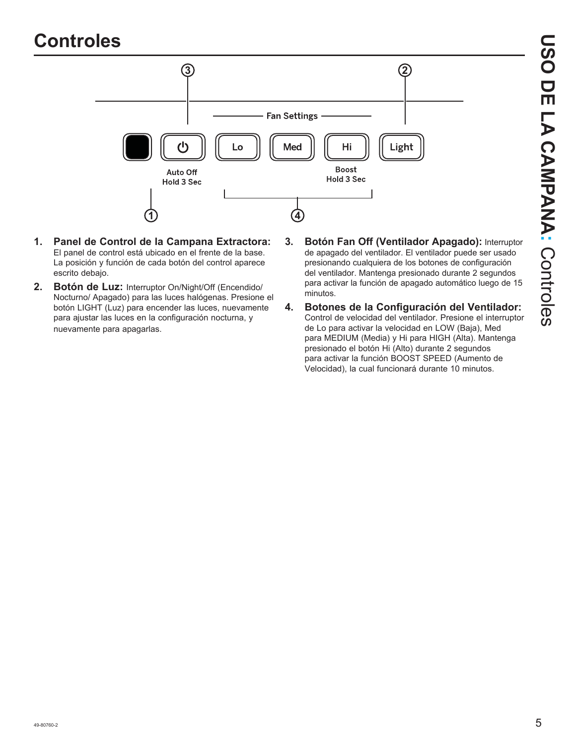## **Controles**



- **1. Panel de Control de la Campana Extractora:** El panel de control está ubicado en el frente de la base. La posición y función de cada botón del control aparece escrito debajo.
- **2. Botón de Luz:** Interruptor On/Night/Off (Encendido/ Nocturno/ Apagado) para las luces halógenas. Presione el botón LIGHT (Luz) para encender las luces, nuevamente para ajustar las luces en la configuración nocturna, y nuevamente para apagarlas.
- **3. Botón Fan Off (Ventilador Apagado):** Interruptor de apagado del ventilador. El ventilador puede ser usado presionando cualquiera de los botones de configuración del ventilador. Mantenga presionado durante 2 segundos para activar la función de apagado automático luego de 15 minutos.
- **4. Botones de la Configuración del Ventilador:**  Control de velocidad del ventilador. Presione el interruptor de Lo para activar la velocidad en LOW (Baja), Med para MEDIUM (Media) y Hi para HIGH (Alta). Mantenga presionado el botón Hi (Alto) durante 2 segundos para activar la función BOOST SPEED (Aumento de Velocidad), la cual funcionará durante 10 minutos.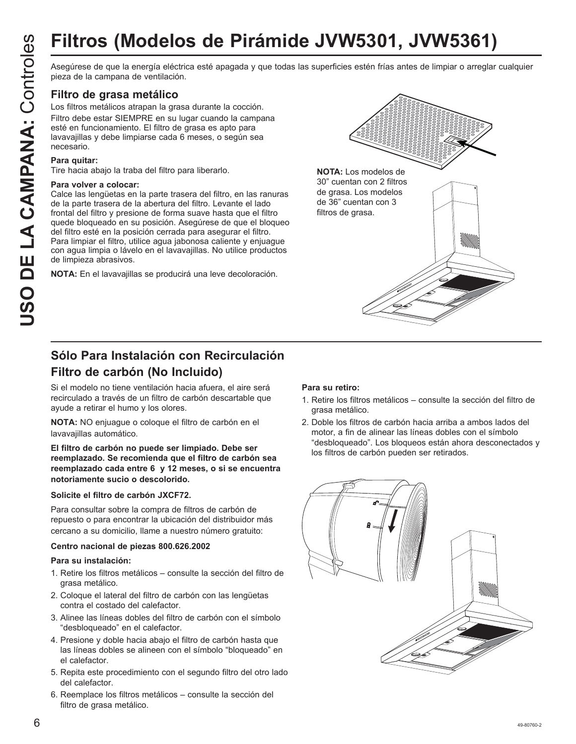# **Filtros (Modelos de Pirámide JVW5301, JVW5361)**

Asegúrese de que la energía eléctrica esté apagada y que todas las superficies estén frías antes de limpiar o arreglar cualquier pieza de la campana de ventilación.

#### **Filtro de grasa metálico**

Los filtros metálicos atrapan la grasa durante la cocción. Filtro debe estar SIEMPRE en su lugar cuando la campana esté en funcionamiento. El filtro de grasa es apto para lavavajillas y debe limpiarse cada 6 meses, o según sea

#### necesario. **Para quitar:**

Tire hacia abajo la traba del filtro para liberarlo.

#### **Para volver a colocar:**

Calce las lengüetas en la parte trasera del filtro, en las ranuras de la parte trasera de la abertura del filtro. Levante el lado frontal del filtro y presione de forma suave hasta que el filtro quede bloqueado en su posición. Asegúrese de que el bloqueo del filtro esté en la posición cerrada para asegurar el filtro. Para limpiar el filtro, utilice agua jabonosa caliente y enjuague con agua limpia o lávelo en el lavavajillas. No utilice productos de limpieza abrasivos.

**NOTA:** En el lavavajillas se producirá una leve decoloración.



### **Sólo Para Instalación con Recirculación Filtro de carbón (No Incluido)**

Si el modelo no tiene ventilación hacia afuera, el aire será recirculado a través de un filtro de carbón descartable que ayude a retirar el humo y los olores.

**NOTA:** NO enjuague o coloque el filtro de carbón en el lavavajillas automático.

**El filtro de carbón no puede ser limpiado. Debe ser reemplazado. Se recomienda que el filtro de carbón sea reemplazado cada entre 6 y 12 meses, o si se encuentra notoriamente sucio o descolorido.**

#### **Solicite el filtro de carbón JXCF72.**

Para consultar sobre la compra de filtros de carbón de repuesto o para encontrar la ubicación del distribuidor más cercano a su domicilio, llame a nuestro número gratuito:

#### **Centro nacional de piezas 800.626.2002**

#### **Para su instalación:**

- 1. Retire los filtros metálicos consulte la sección del filtro de grasa metálico.
- 2. Coloque el lateral del filtro de carbón con las lengüetas contra el costado del calefactor.
- 3. Alinee las líneas dobles del filtro de carbón con el símbolo "desbloqueado" en el calefactor.
- 4. Presione y doble hacia abajo el filtro de carbón hasta que las líneas dobles se alineen con el símbolo "bloqueado" en el calefactor.
- 5. Repita este procedimiento con el segundo filtro del otro lado del calefactor.
- 6. Reemplace los filtros metálicos consulte la sección del filtro de grasa metálico.

#### **Para su retiro:**

- 1. Retire los filtros metálicos consulte la sección del filtro de grasa metálico.
- 2. Doble los filtros de carbón hacia arriba a ambos lados del motor, a fin de alinear las líneas dobles con el símbolo "desbloqueado". Los bloqueos están ahora desconectados y los filtros de carbón pueden ser retirados.

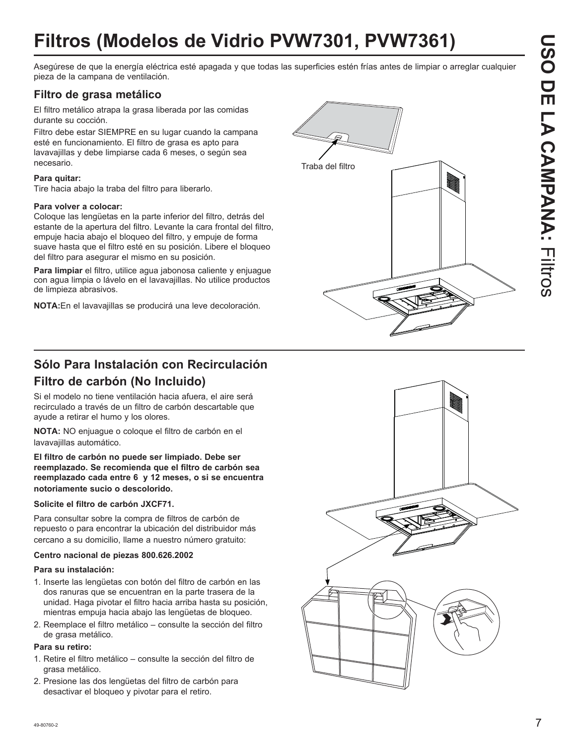# **Filtros (Modelos de Vidrio PVW7301, PVW7361)**

Asegúrese de que la energía eléctrica esté apagada y que todas las superficies estén frías antes de limpiar o arreglar cualquier pieza de la campana de ventilación.

#### **Filtro de grasa metálico**

El filtro metálico atrapa la grasa liberada por las comidas durante su cocción.

Filtro debe estar SIEMPRE en su lugar cuando la campana esté en funcionamiento. El filtro de grasa es apto para lavavajillas y debe limpiarse cada 6 meses, o según sea necesario.

#### **Para quitar:**

Tire hacia abajo la traba del filtro para liberarlo.

#### **Para volver a colocar:**

Coloque las lengüetas en la parte inferior del filtro, detrás del estante de la apertura del filtro. Levante la cara frontal del filtro, empuje hacia abajo el bloqueo del filtro, y empuje de forma suave hasta que el filtro esté en su posición. Libere el bloqueo del filtro para asegurar el mismo en su posición.

**Para limpiar** el filtro, utilice agua jabonosa caliente y enjuague con agua limpia o lávelo en el lavavajillas. No utilice productos de limpieza abrasivos.

**NOTA:**En el lavavajillas se producirá una leve decoloración.



## **Sólo Para Instalación con Recirculación Filtro de carbón (No Incluido)**

Si el modelo no tiene ventilación hacia afuera, el aire será recirculado a través de un filtro de carbón descartable que ayude a retirar el humo y los olores.

**NOTA:** NO enjuague o coloque el filtro de carbón en el lavavajillas automático.

**El filtro de carbón no puede ser limpiado. Debe ser reemplazado. Se recomienda que el filtro de carbón sea reemplazado cada entre 6 y 12 meses, o si se encuentra notoriamente sucio o descolorido.**

#### **Solicite el filtro de carbón JXCF71.**

Para consultar sobre la compra de filtros de carbón de repuesto o para encontrar la ubicación del distribuidor más cercano a su domicilio, llame a nuestro número gratuito:

#### **Centro nacional de piezas 800.626.2002**

#### **Para su instalación:**

- 1. Inserte las lengüetas con botón del filtro de carbón en las dos ranuras que se encuentran en la parte trasera de la unidad. Haga pivotar el filtro hacia arriba hasta su posición, mientras empuja hacia abajo las lengüetas de bloqueo.
- 2. Reemplace el filtro metálico consulte la sección del filtro de grasa metálico.

#### **Para su retiro:**

- 1. Retire el filtro metálico consulte la sección del filtro de grasa metálico.
- 2. Presione las dos lengüetas del filtro de carbón para desactivar el bloqueo y pivotar para el retiro.

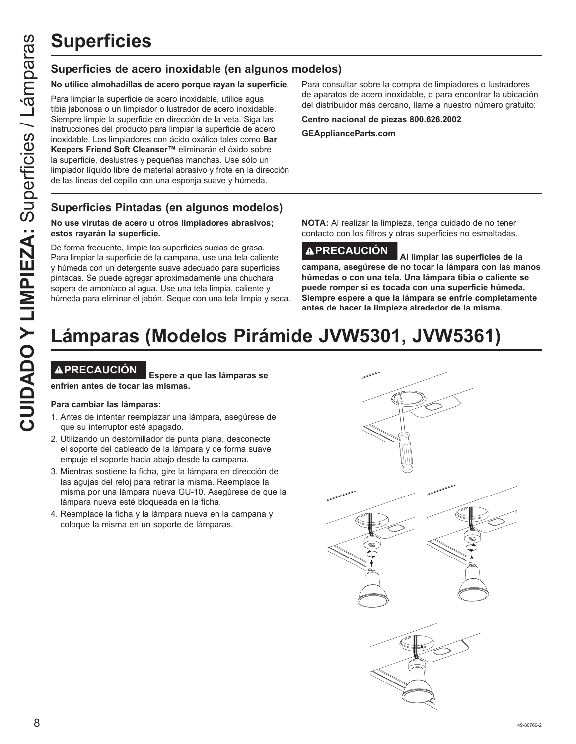#### **Superficies de acero inoxidable (en algunos modelos)**

#### **No utilice almohadillas de acero porque rayan la superficie.**

Para limpiar la superficie de acero inoxidable, utilice agua tibia jabonosa o un limpiador o lustrador de acero inoxidable. Siempre limpie la superficie en dirección de la veta. Siga las instrucciones del producto para limpiar la superficie de acero inoxidable. Los limpiadores con ácido oxálico tales como **Bar Keepers Friend Soft Cleanser™** eliminarán el óxido sobre la superficie, deslustres y pequeñas manchas. Use sólo un limpiador líquido libre de material abrasivo y frote en la dirección de las líneas del cepillo con una esponja suave y húmeda.

#### **Superficies Pintadas (en algunos modelos)**

#### **No use virutas de acero u otros limpiadores abrasivos; estos rayarán la superficie.**

De forma frecuente, limpie las superficies sucias de grasa. Para limpiar la superficie de la campana, use una tela caliente y húmeda con un detergente suave adecuado para superficies pintadas. Se puede agregar aproximadamente una chuchara sopera de amoníaco al agua. Use una tela limpia, caliente y húmeda para eliminar el jabón. Seque con una tela limpia y seca.

Para consultar sobre la compra de limpiadores o lustradores de aparatos de acero inoxidable, o para encontrar la ubicación del distribuidor más cercano, llame a nuestro número gratuito:

**Centro nacional de piezas 800.626.2002**

**GEApplianceParts.com**

**NOTA:** Al realizar la limpieza, tenga cuidado de no tener contacto con los filtros y otras superficies no esmaltadas.

## **PRECAUCIÓN Al limpiar las superficies de la**

**campana, asegúrese de no tocar la lámpara con las manos húmedas o con una tela. Una lámpara tibia o caliente se puede romper si es tocada con una superficie húmeda. Siempre espere a que la lámpara se enfríe completamente antes de hacer la limpieza alrededor de la misma.**

# **Lámparas (Modelos Pirámide JVW5301, JVW5361)**

**PRECAUCIÓN Espere a que las lámparas se enfríen antes de tocar las mismas.**

#### **Para cambiar las lámparas:**

- 1. Antes de intentar reemplazar una lámpara, asegúrese de que su interruptor esté apagado.
- 2. Utilizando un destornillador de punta plana, desconecte el soporte del cableado de la lámpara y de forma suave empuje el soporte hacia abajo desde la campana.
- 3. Mientras sostiene la ficha, gire la lámpara en dirección de las agujas del reloj para retirar la misma. Reemplace la misma por una lámpara nueva GU-10. Asegúrese de que la lámpara nueva esté bloqueada en la ficha.
- 4. Reemplace la ficha y la lámpara nueva en la campana y coloque la misma en un soporte de lámparas.

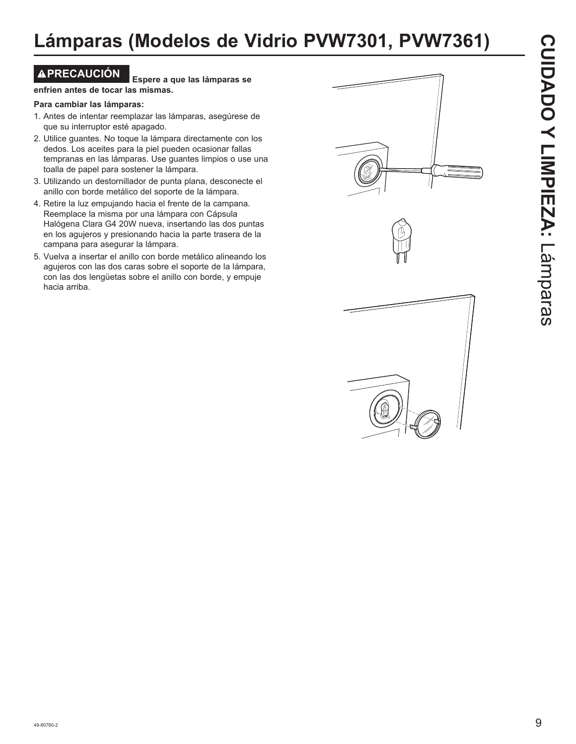**PRECAUCIÓN Espere a que las lámparas se enfríen antes de tocar las mismas.**

#### **Para cambiar las lámparas:**

- 1. Antes de intentar reemplazar las lámparas, asegúrese de que su interruptor esté apagado.
- 2. Utilice guantes. No toque la lámpara directamente con los dedos. Los aceites para la piel pueden ocasionar fallas tempranas en las lámparas. Use guantes limpios o use una toalla de papel para sostener la lámpara.
- 3. Utilizando un destornillador de punta plana, desconecte el anillo con borde metálico del soporte de la lámpara.
- 4. Retire la luz empujando hacia el frente de la campana. Reemplace la misma por una lámpara con Cápsula Halógena Clara G4 20W nueva, insertando las dos puntas en los agujeros y presionando hacia la parte trasera de la campana para asegurar la lámpara.
- 5. Vuelva a insertar el anillo con borde metálico alineando los agujeros con las dos caras sobre el soporte de la lámpara, con las dos lengüetas sobre el anillo con borde, y empuje hacia arriba.

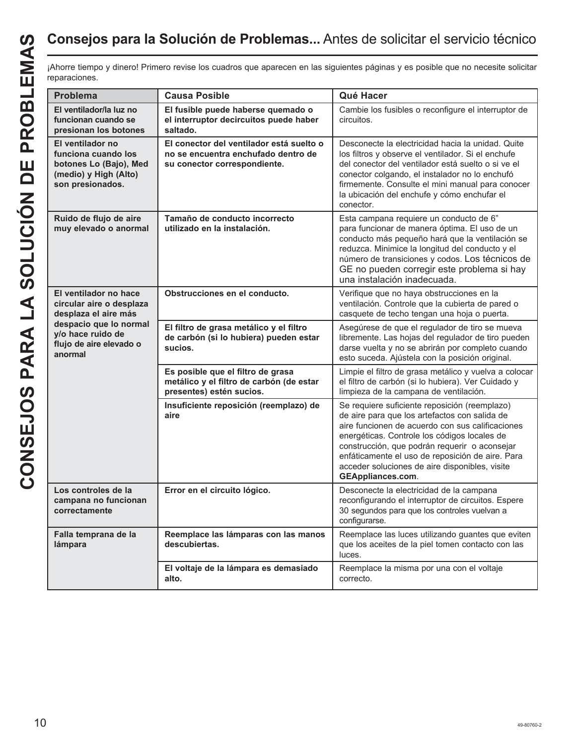## **Consejos para la Solución de Problemas...** Antes de solicitar el servicio técnico

¡Ahorre tiempo y dinero! Primero revise los cuadros que aparecen en las siguientes páginas y es posible que no necesite solicitar reparaciones.

| Problema                                                                                                                                                       | <b>Causa Posible</b>                                                                                            | Qué Hacer                                                                                                                                                                                                                                                                                                                                                                             |
|----------------------------------------------------------------------------------------------------------------------------------------------------------------|-----------------------------------------------------------------------------------------------------------------|---------------------------------------------------------------------------------------------------------------------------------------------------------------------------------------------------------------------------------------------------------------------------------------------------------------------------------------------------------------------------------------|
| El ventilador/la luz no<br>funcionan cuando se<br>presionan los botones                                                                                        | El fusible puede haberse quemado o<br>el interruptor decircuitos puede haber<br>saltado.                        | Cambie los fusibles o reconfigure el interruptor de<br>circuitos.                                                                                                                                                                                                                                                                                                                     |
| El ventilador no<br>funciona cuando los<br>botones Lo (Bajo), Med<br>(medio) y High (Alto)<br>son presionados.                                                 | El conector del ventilador está suelto o<br>no se encuentra enchufado dentro de<br>su conector correspondiente. | Desconecte la electricidad hacia la unidad. Quite<br>los filtros y observe el ventilador. Si el enchufe<br>del conector del ventilador está suelto o si ve el<br>conector colgando, el instalador no lo enchufó<br>firmemente. Consulte el mini manual para conocer<br>la ubicación del enchufe y cómo enchufar el<br>conector.                                                       |
| Ruido de flujo de aire<br>muy elevado o anormal                                                                                                                | Tamaño de conducto incorrecto<br>utilizado en la instalación.                                                   | Esta campana requiere un conducto de 6"<br>para funcionar de manera óptima. El uso de un<br>conducto más pequeño hará que la ventilación se<br>reduzca. Minimice la longitud del conducto y el<br>número de transiciones y codos. Los técnicos de<br>GE no pueden corregir este problema si hay<br>una instalación inadecuada.                                                        |
| El ventilador no hace<br>circular aire o desplaza<br>desplaza el aire más<br>despacio que lo normal<br>y/o hace ruido de<br>flujo de aire elevado o<br>anormal | Obstrucciones en el conducto.                                                                                   | Verifique que no haya obstrucciones en la<br>ventilación. Controle que la cubierta de pared o<br>casquete de techo tengan una hoja o puerta.                                                                                                                                                                                                                                          |
|                                                                                                                                                                | El filtro de grasa metálico y el filtro<br>de carbón (si lo hubiera) pueden estar<br>sucios.                    | Asegúrese de que el regulador de tiro se mueva<br>libremente. Las hojas del regulador de tiro pueden<br>darse vuelta y no se abrirán por completo cuando<br>esto suceda. Ajústela con la posición original.                                                                                                                                                                           |
|                                                                                                                                                                | Es posible que el filtro de grasa<br>metálico y el filtro de carbón (de estar<br>presentes) estén sucios.       | Limpie el filtro de grasa metálico y vuelva a colocar<br>el filtro de carbón (si lo hubiera). Ver Cuidado y<br>limpieza de la campana de ventilación.                                                                                                                                                                                                                                 |
|                                                                                                                                                                | Insuficiente reposición (reemplazo) de<br>aire                                                                  | Se requiere suficiente reposición (reemplazo)<br>de aire para que los artefactos con salida de<br>aire funcionen de acuerdo con sus calificaciones<br>energéticas. Controle los códigos locales de<br>construcción, que podrán requerir o aconsejar<br>enfáticamente el uso de reposición de aire. Para<br>acceder soluciones de aire disponibles, visite<br><b>GEAppliances.com.</b> |
| Los controles de la<br>campana no funcionan<br>correctamente                                                                                                   | Error en el circuito lógico.                                                                                    | Desconecte la electricidad de la campana<br>reconfigurando el interruptor de circuitos. Espere<br>30 segundos para que los controles vuelvan a<br>configurarse.                                                                                                                                                                                                                       |
| Falla temprana de la<br>lámpara                                                                                                                                | Reemplace las lámparas con las manos<br>descubiertas.                                                           | Reemplace las luces utilizando guantes que eviten<br>que los aceites de la piel tomen contacto con las<br>luces.                                                                                                                                                                                                                                                                      |
|                                                                                                                                                                | El voltaje de la lámpara es demasiado<br>alto.                                                                  | Reemplace la misma por una con el voltaje<br>correcto.                                                                                                                                                                                                                                                                                                                                |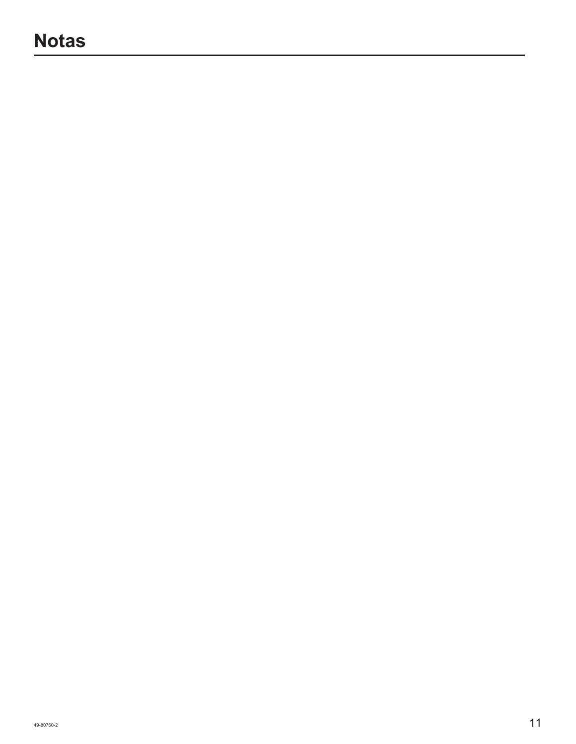## **Notas**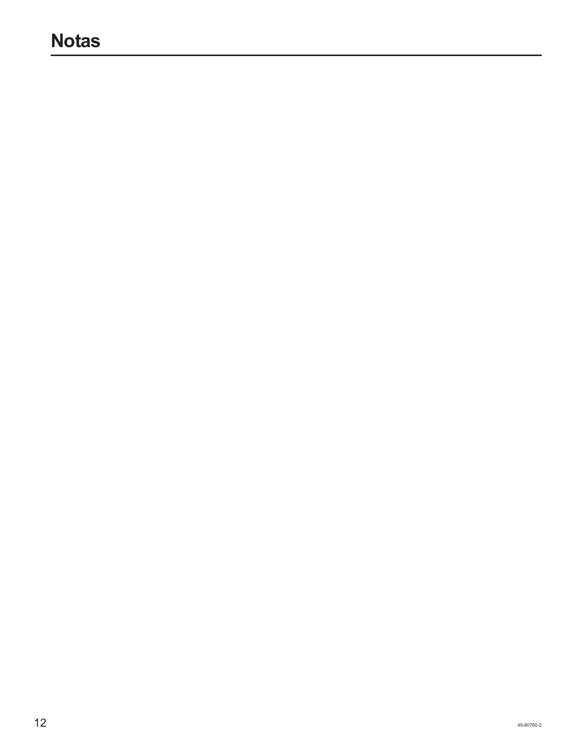## **Notas**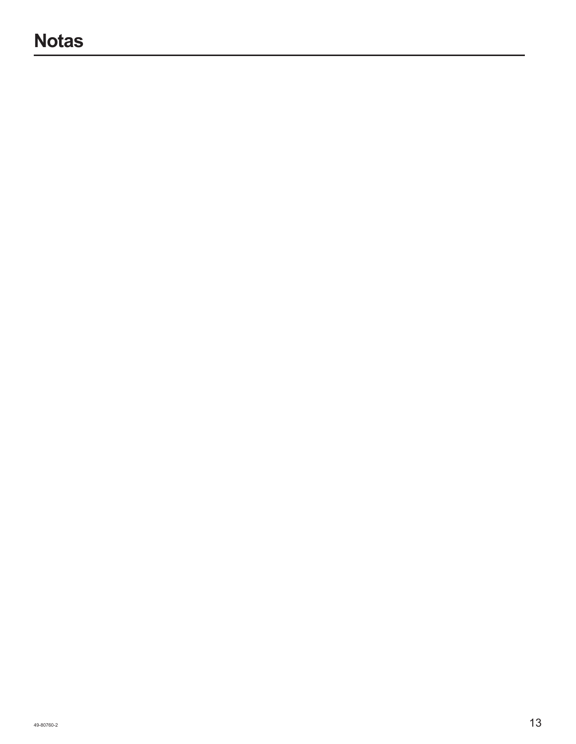## **Notas**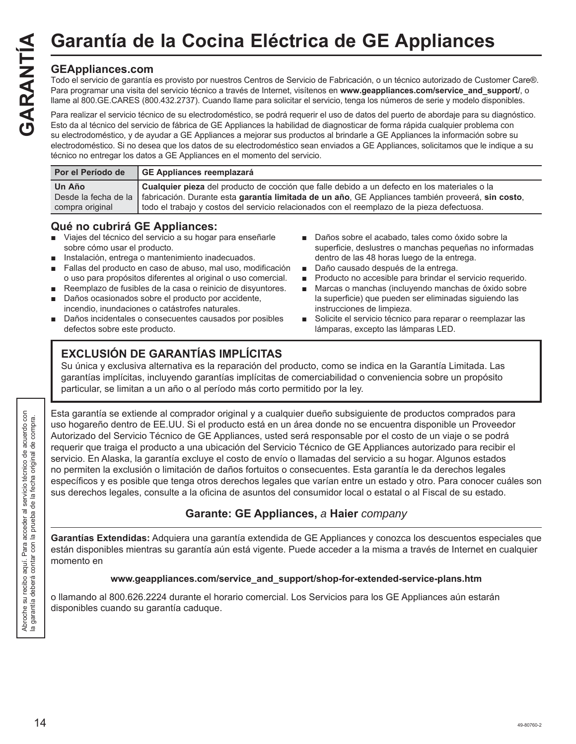#### **GEAppliances.com**

Todo el servicio de garantía es provisto por nuestros Centros de Servicio de Fabricación, o un técnico autorizado de Customer Care®. Para programar una visita del servicio técnico a través de Internet, visítenos en **www.geappliances.com/service\_and\_support/**, o llame al 800.GE.CARES (800.432.2737). Cuando llame para solicitar el servicio, tenga los números de serie y modelo disponibles. Garantía de la Cocina Eléctrica de GE Appliances<br>
Todo el servicio de garantía es provisto por nuestros Centros de Servicio de Fabricación, o un técnico autorizado de Custo<br>
Para programar una visita del servicio técnico a

Para realizar el servicio técnico de su electrodoméstico, se podrá requerir el uso de datos del puerto de abordaje para su diagnóstico. Esto da al técnico del servicio de fábrica de GE Appliances la habilidad de diagnosticar de forma rápida cualquier problema con su electrodoméstico, y de ayudar a GE Appliances a mejorar sus productos al brindarle a GE Appliances la información sobre su electrodoméstico. Si no desea que los datos de su electrodoméstico sean enviados a GE Appliances, solicitamos que le indique a su técnico no entregar los datos a GE Appliances en el momento del servicio.

| Por el Período de | GE Appliances reemplazará                                                                                              |
|-------------------|------------------------------------------------------------------------------------------------------------------------|
| Un Año            | Cualquier pieza del producto de cocción que falle debido a un defecto en los materiales o la                           |
|                   | Desde la fecha de la fabricación. Durante esta garantía limitada de un año, GE Appliances también proveerá, sin costo, |
| compra original   | l todo el trabajo y costos del servicio relacionados con el reemplazo de la pieza defectuosa.                          |

#### **Qué no cubrirá GE Appliances:**

- Viajes del técnico del servicio a su hogar para enseñarle sobre cómo usar el producto.
- Instalación, entrega o mantenimiento inadecuados.
- Fallas del producto en caso de abuso, mal uso, modificación o uso para propósitos diferentes al original o uso comercial.
- Reemplazo de fusibles de la casa o reinicio de disyuntores.
- Daños ocasionados sobre el producto por accidente, incendio, inundaciones o catástrofes naturales.
- Daños incidentales o consecuentes causados por posibles defectos sobre este producto.

## **EXCLUSIÓN DE GARANTÍAS IMPLÍCITAS**

- Daños sobre el acabado, tales como óxido sobre la superficie, deslustres o manchas pequeñas no informadas dentro de las 48 horas luego de la entrega.
- Daño causado después de la entrega.
- **Producto no accesible para brindar el servicio requerido.**
- Marcas o manchas (incluyendo manchas de óxido sobre la superficie) que pueden ser eliminadas siguiendo las instrucciones de limpieza.
- Solicite el servicio técnico para reparar o reemplazar las lámparas, excepto las lámparas LED.

Su única y exclusiva alternativa es la reparación del producto, como se indica en la Garantía Limitada. Las garantías implícitas, incluyendo garantías implícitas de comerciabilidad o conveniencia sobre un propósito particular, se limitan a un año o al período más corto permitido por la ley.

Esta garantía se extiende al comprador original y a cualquier dueño subsiguiente de productos comprados para uso hogareño dentro de EE.UU. Si el producto está en un área donde no se encuentra disponible un Proveedor Autorizado del Servicio Técnico de GE Appliances, usted será responsable por el costo de un viaje o se podrá requerir que traiga el producto a una ubicación del Servicio Técnico de GE Appliances autorizado para recibir el servicio. En Alaska, la garantía excluye el costo de envío o llamadas del servicio a su hogar. Algunos estados no permiten la exclusión o limitación de daños fortuitos o consecuentes. Esta garantía le da derechos legales específicos y es posible que tenga otros derechos legales que varían entre un estado y otro. Para conocer cuáles son sus derechos legales, consulte a la oficina de asuntos del consumidor local o estatal o al Fiscal de su estado.

#### **Garante: GE Appliances,** *a* **Haier** *company*

**Garantías Extendidas:** Adquiera una garantía extendida de GE Appliances y conozca los descuentos especiales que están disponibles mientras su garantía aún está vigente. Puede acceder a la misma a través de Internet en cualquier momento en

#### **www.geappliances.com/service\_and\_support/shop-for-extended-service-plans.htm**

o llamando al 800.626.2224 durante el horario comercial. Los Servicios para los GE Appliances aún estarán disponibles cuando su garantía caduque.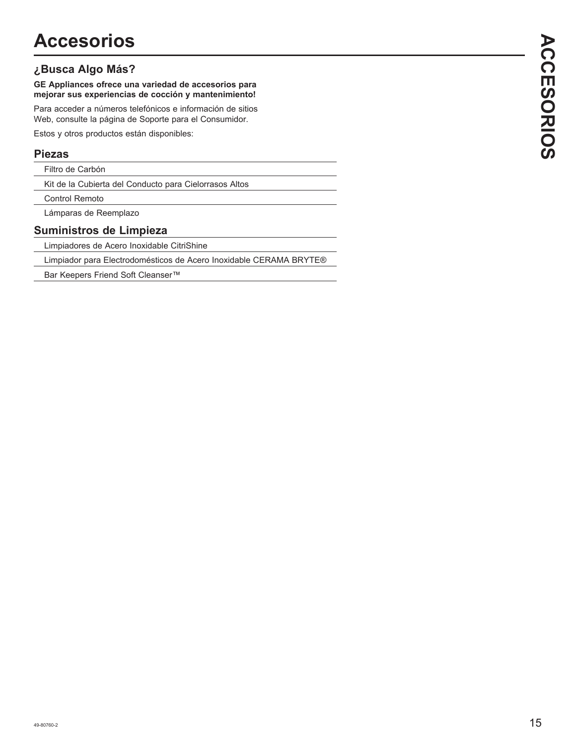#### **¿Busca Algo Más?**

**GE Appliances ofrece una variedad de accesorios para mejorar sus experiencias de cocción y mantenimiento!**

Para acceder a números telefónicos e información de sitios Web, consulte la página de Soporte para el Consumidor.

Estos y otros productos están disponibles:

#### **Piezas**

Filtro de Carbón

Kit de la Cubierta del Conducto para Cielorrasos Altos

Control Remoto

Lámparas de Reemplazo

#### **Suministros de Limpieza**

Limpiadores de Acero Inoxidable CitriShine

Limpiador para Electrodomésticos de Acero Inoxidable CERAMA BRYTE®

Bar Keepers Friend Soft Cleanser™